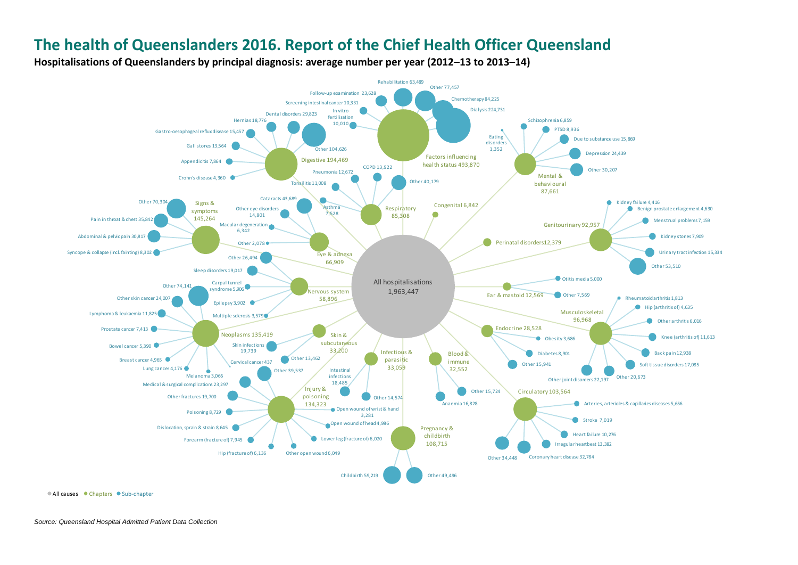**Hospitalisations of Queenslanders by principal diagnosis: average number per year (2012–13 to 2013–14)** 



• All causes • Chapters • Sub-chapter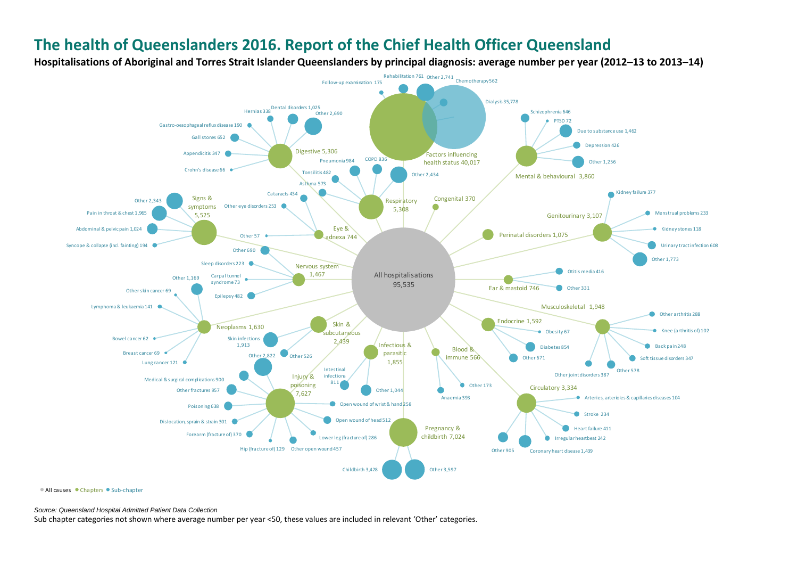**Hospitalisations of Aboriginal and Torres Strait Islander Queenslanders by principal diagnosis: average number per year (2012–13 to 2013–14)** 



• All causes • Chapters • Sub-chapter

*Source: Queensland Hospital Admitted Patient Data Collection*

Sub chapter categories not shown where average number per year <50, these values are included in relevant 'Other' categories.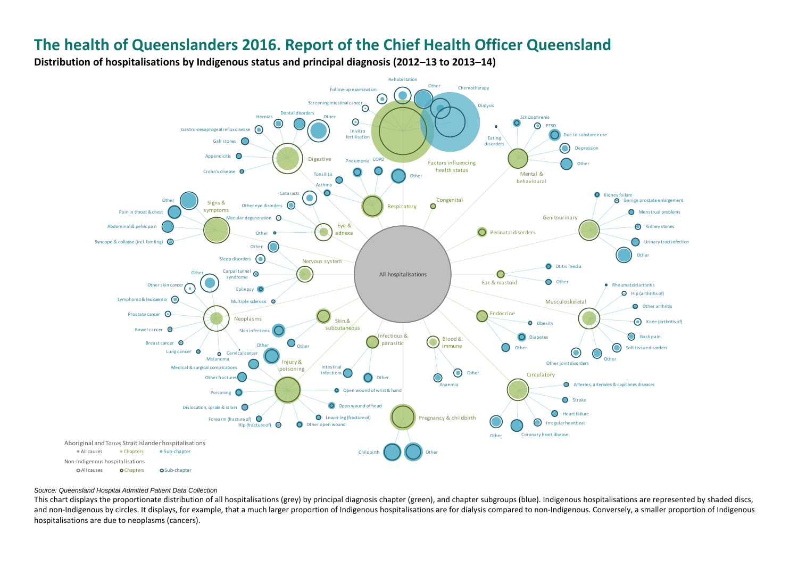**Distribution of hospitalisations by Indigenous status and principal diagnosis (2012–13 to 2013–14)** 



#### *Source: Queensland Hospital Admitted Patient Data Collection*

This chart displays the proportionate distribution of all hospitalisations (grey) by principal diagnosis chapter (green), and chapter subgroups (blue). Indigenous hospitalisations are represented by shaded discs, and non-Indigenous by circles. It displays, for example, that a much larger proportion of Indigenous hospitalisations are for dialysis compared to non-Indigenous. Conversely, a smaller proportion of Indigenous hospitalisations are due to neoplasms (cancers).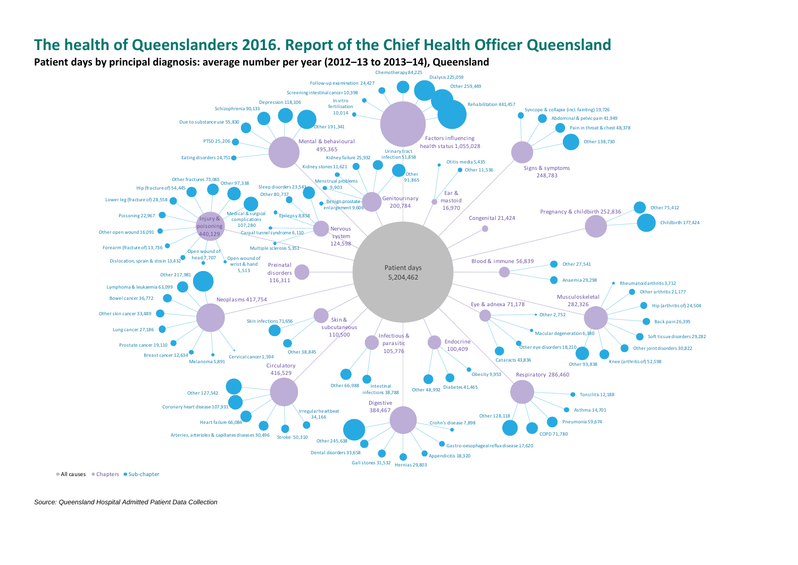

*Source: Queensland Hospital Admitted Patient Data Collection*